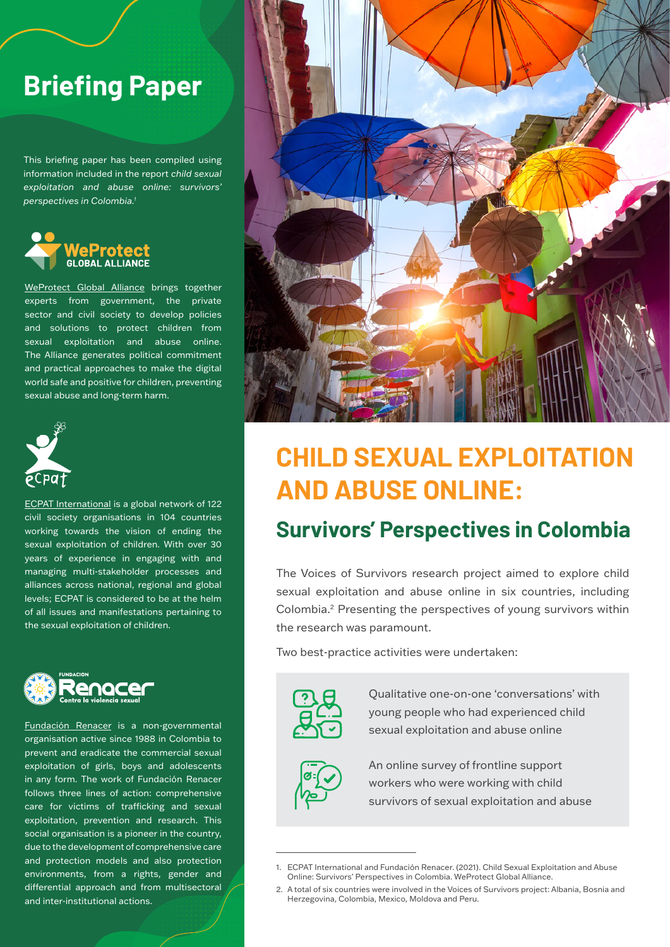# **Briefing Paper**

This briefing paper has been compiled using information included in the report *child sexual exploitation and abuse online: survivors' perspectives in Colombia.1*



[WeProtect Global Alliance](https://www.weprotect.org/) brings together experts from government, the private sector and civil society to develop policies and solutions to protect children from sexual exploitation and abuse online. The Alliance generates political commitment and practical approaches to make the digital world safe and positive for children, preventing sexual abuse and long-term harm.



[ECPAT International](https://www.ecpat.org/) is a global network of 122 civil society organisations in 104 countries working towards the vision of ending the sexual exploitation of children. With over 30 years of experience in engaging with and managing multi-stakeholder processes and alliances across national, regional and global levels; ECPAT is considered to be at the helm of all issues and manifestations pertaining to the sexual exploitation of children.



[Fundación Renacer](https://www.fundacionrenacer.org/) is a non-governmental organisation active since 1988 in Colombia to prevent and eradicate the commercial sexual exploitation of girls, boys and adolescents in any form. The work of Fundación Renacer follows three lines of action: comprehensive care for victims of trafficking and sexual exploitation, prevention and research. This social organisation is a pioneer in the country, due to the development of comprehensive care and protection models and also protection environments, from a rights, gender and differential approach and from multisectoral and inter-institutional actions.



# **CHILD SEXUAL EXPLOITATION AND ABUSE ONLINE:**

### **Survivors' Perspectives in Colombia**

The Voices of Survivors research project aimed to explore child sexual exploitation and abuse online in six countries, including Colombia.2 Presenting the perspectives of young survivors within the research was paramount.

Two best-practice activities were undertaken:



Qualitative one-on-one 'conversations' with young people who had experienced child sexual exploitation and abuse online



An online survey of frontline support workers who were working with child survivors of sexual exploitation and abuse

<sup>1.</sup> ECPAT International and Fundación Renacer. (2021). Child Sexual Exploitation and Abuse Online: Survivors' Perspectives in Colombia. WeProtect Global Alliance.

<sup>2.</sup> A total of six countries were involved in the Voices of Survivors project: Albania, Bosnia and Herzegovina, Colombia, Mexico, Moldova and Peru.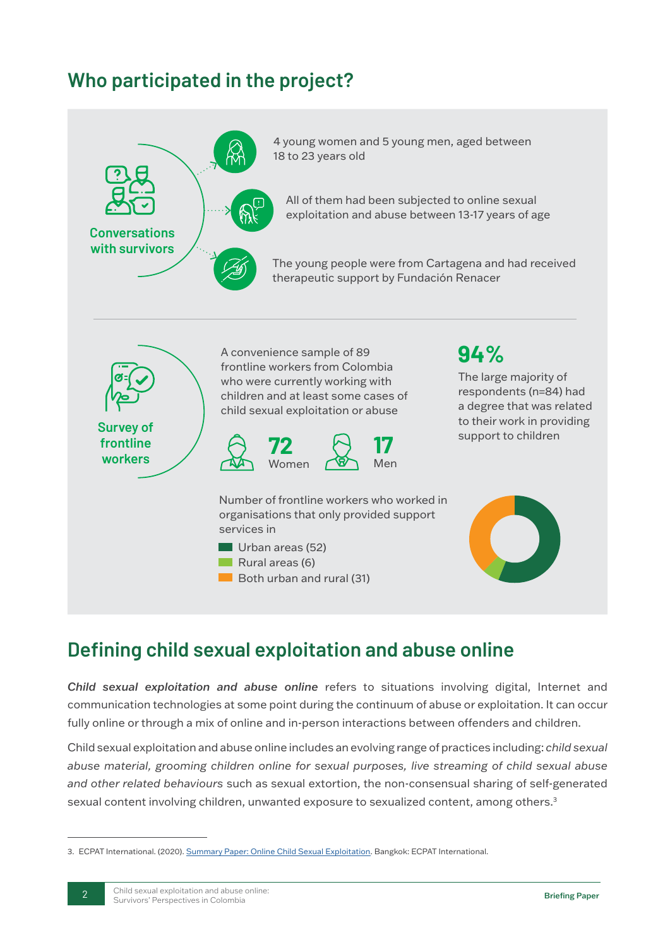# **Who participated in the project?**



# **Defining child sexual exploitation and abuse online**

*Child sexual exploitation and abuse online* refers to situations involving digital, Internet and communication technologies at some point during the continuum of abuse or exploitation. It can occur fully online or through a mix of online and in-person interactions between offenders and children.

Child sexual exploitation and abuse online includes an evolving range of practices including: *child sexual abuse material, grooming children online for sexual purposes, live streaming of child sexual abuse and other related behaviours* such as sexual extortion, the non-consensual sharing of self-generated sexual content involving children, unwanted exposure to sexualized content, among others.<sup>3</sup>

<sup>3.</sup> ECPAT International. (2020). [Summary Paper: Online Child Sexual Exploitation](https://www.ecpat.org/wp-content/uploads/2020/12/ECPAT-Summary-paper-on-Online-Child-Sexual-Exploitation-2020.pdf). Bangkok: ECPAT International.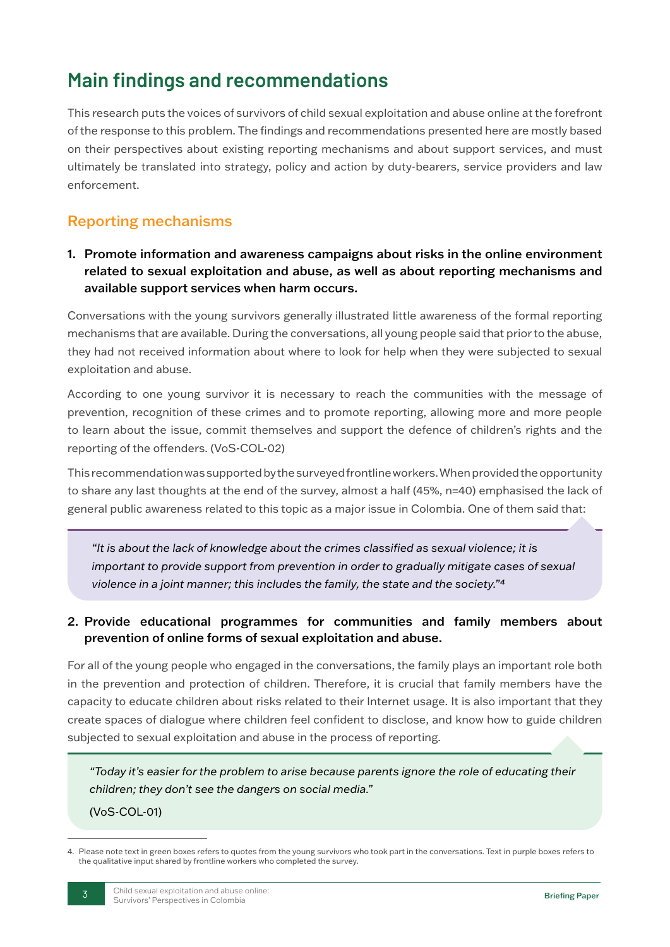# **Main findings and recommendations**

This research puts the voices of survivors of child sexual exploitation and abuse online at the forefront of the response to this problem. The findings and recommendations presented here are mostly based on their perspectives about existing reporting mechanisms and about support services, and must ultimately be translated into strategy, policy and action by duty-bearers, service providers and law enforcement.

### Reporting mechanisms

1. Promote information and awareness campaigns about risks in the online environment related to sexual exploitation and abuse, as well as about reporting mechanisms and available support services when harm occurs.

Conversations with the young survivors generally illustrated little awareness of the formal reporting mechanisms that are available. During the conversations, all young people said that prior to the abuse, they had not received information about where to look for help when they were subjected to sexual exploitation and abuse.

According to one young survivor it is necessary to reach the communities with the message of prevention, recognition of these crimes and to promote reporting, allowing more and more people to learn about the issue, commit themselves and support the defence of children's rights and the reporting of the offenders. (VoS-COL-02)

This recommendation was supported by the surveyed frontline workers. When provided the opportunity to share any last thoughts at the end of the survey, almost a half (45%, n=40) emphasised the lack of general public awareness related to this topic as a major issue in Colombia. One of them said that:

*"It is about the lack of knowledge about the crimes classified as sexual violence; it is important to provide support from prevention in order to gradually mitigate cases of sexual violence in a joint manner; this includes the family, the state and the society.*"<sup>4</sup>

#### 2. Provide educational programmes for communities and family members about prevention of online forms of sexual exploitation and abuse.

For all of the young people who engaged in the conversations, the family plays an important role both in the prevention and protection of children. Therefore, it is crucial that family members have the capacity to educate children about risks related to their Internet usage. It is also important that they create spaces of dialogue where children feel confident to disclose, and know how to guide children subjected to sexual exploitation and abuse in the process of reporting.

*"Today it's easier for the problem to arise because parents ignore the role of educating their children; they don't see the dangers on social media."*

(VoS-COL-01)

<sup>4.</sup> Please note text in green boxes refers to quotes from the young survivors who took part in the conversations. Text in purple boxes refers to the qualitative input shared by frontline workers who completed the survey.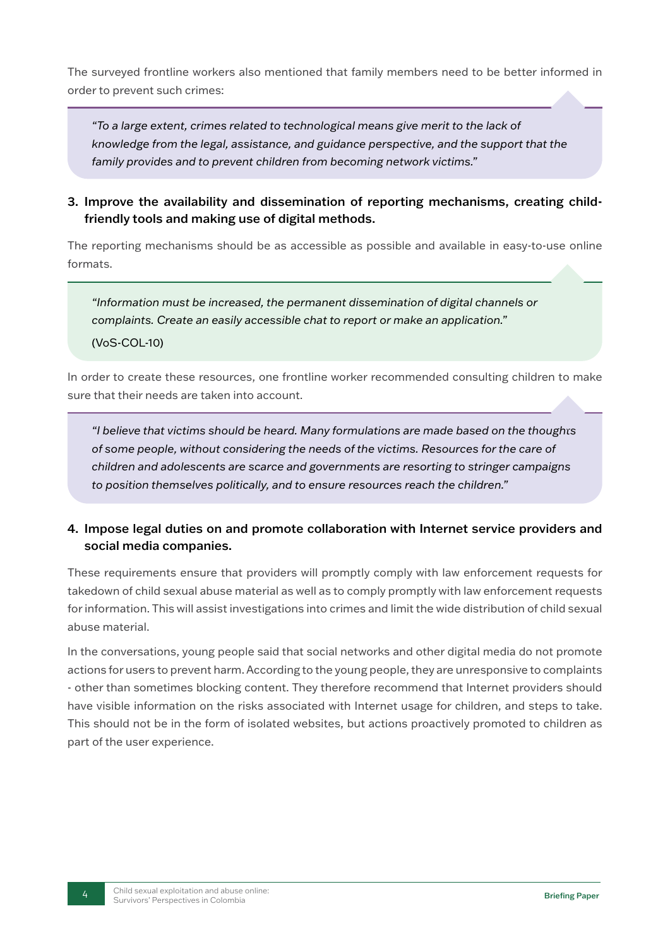The surveyed frontline workers also mentioned that family members need to be better informed in order to prevent such crimes:

*"To a large extent, crimes related to technological means give merit to the lack of knowledge from the legal, assistance, and guidance perspective, and the support that the family provides and to prevent children from becoming network victims."* 

3. Improve the availability and dissemination of reporting mechanisms, creating childfriendly tools and making use of digital methods.

The reporting mechanisms should be as accessible as possible and available in easy-to-use online formats.

*"Information must be increased, the permanent dissemination of digital channels or complaints. Create an easily accessible chat to report or make an application."* (VoS-COL-10)

In order to create these resources, one frontline worker recommended consulting children to make sure that their needs are taken into account.

*"I believe that victims should be heard. Many formulations are made based on the thoughts of some people, without considering the needs of the victims. Resources for the care of children and adolescents are scarce and governments are resorting to stringer campaigns to position themselves politically, and to ensure resources reach the children."*

#### 4. Impose legal duties on and promote collaboration with Internet service providers and social media companies.

These requirements ensure that providers will promptly comply with law enforcement requests for takedown of child sexual abuse material as well as to comply promptly with law enforcement requests for information. This will assist investigations into crimes and limit the wide distribution of child sexual abuse material.

In the conversations, young people said that social networks and other digital media do not promote actions for users to prevent harm. According to the young people, they are unresponsive to complaints - other than sometimes blocking content. They therefore recommend that Internet providers should have visible information on the risks associated with Internet usage for children, and steps to take. This should not be in the form of isolated websites, but actions proactively promoted to children as part of the user experience.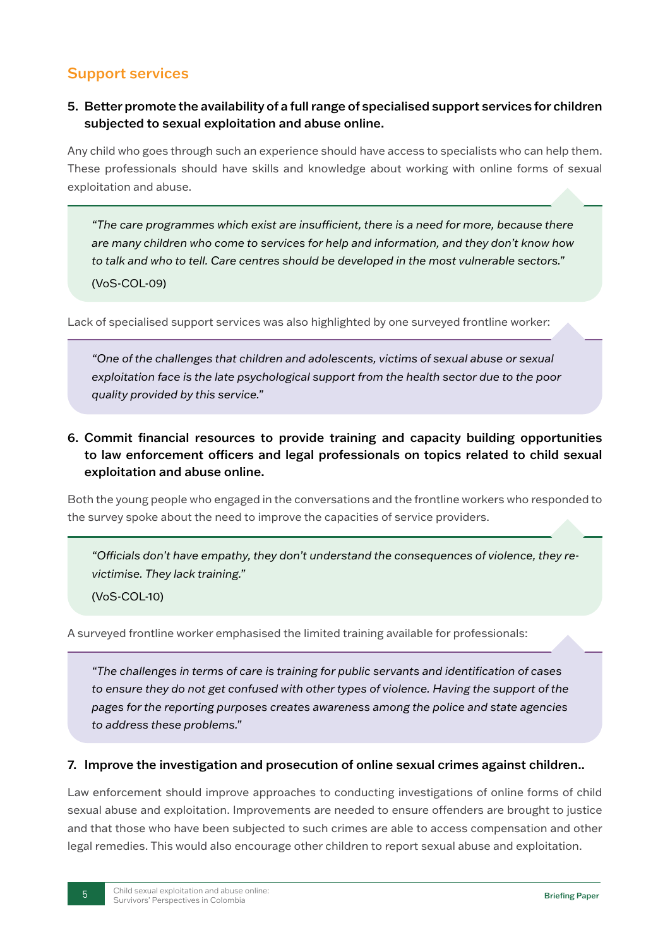### Support services

#### 5. Better promote the availability of a full range of specialised support services for children subjected to sexual exploitation and abuse online.

Any child who goes through such an experience should have access to specialists who can help them. These professionals should have skills and knowledge about working with online forms of sexual exploitation and abuse.

*"The care programmes which exist are insufficient, there is a need for more, because there are many children who come to services for help and information, and they don't know how to talk and who to tell. Care centres should be developed in the most vulnerable sectors."* (VoS-COL-09)

Lack of specialised support services was also highlighted by one surveyed frontline worker:

*"One of the challenges that children and adolescents, victims of sexual abuse or sexual exploitation face is the late psychological support from the health sector due to the poor quality provided by this service."*

#### 6. Commit financial resources to provide training and capacity building opportunities to law enforcement officers and legal professionals on topics related to child sexual exploitation and abuse online.

Both the young people who engaged in the conversations and the frontline workers who responded to the survey spoke about the need to improve the capacities of service providers.

*"Officials don't have empathy, they don't understand the consequences of violence, they revictimise. They lack training."*

(VoS-COL-10)

A surveyed frontline worker emphasised the limited training available for professionals:

*"The challenges in terms of care is training for public servants and identification of cases to ensure they do not get confused with other types of violence. Having the support of the pages for the reporting purposes creates awareness among the police and state agencies to address these problems."*

#### 7. Improve the investigation and prosecution of online sexual crimes against children..

Law enforcement should improve approaches to conducting investigations of online forms of child sexual abuse and exploitation. Improvements are needed to ensure offenders are brought to justice and that those who have been subjected to such crimes are able to access compensation and other legal remedies. This would also encourage other children to report sexual abuse and exploitation.